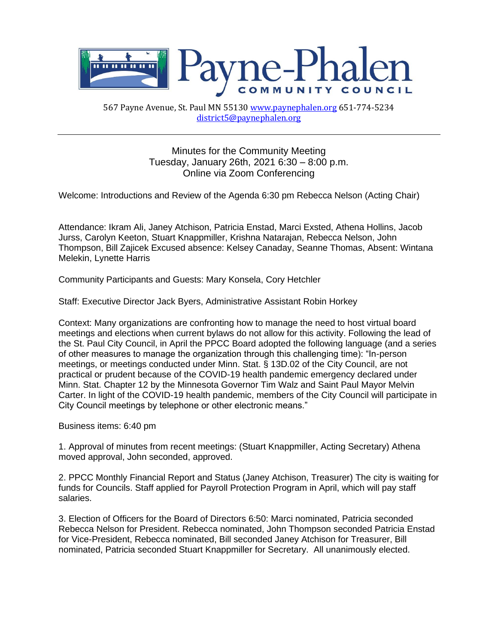

567 Payne Avenue, St. Paul MN 5513[0 www.paynephalen.org](http://www.paynephalen.org/) 651-774-5234 [district5@paynephalen.org](mailto:district5@paynephalen.org)

> Minutes for the Community Meeting Tuesday, January 26th, 2021 6:30 – 8:00 p.m. Online via Zoom Conferencing

Welcome: Introductions and Review of the Agenda 6:30 pm Rebecca Nelson (Acting Chair)

Attendance: Ikram Ali, Janey Atchison, Patricia Enstad, Marci Exsted, Athena Hollins, Jacob Jurss, Carolyn Keeton, Stuart Knappmiller, Krishna Natarajan, Rebecca Nelson, John Thompson, Bill Zajicek Excused absence: Kelsey Canaday, Seanne Thomas, Absent: Wintana Melekin, Lynette Harris

Community Participants and Guests: Mary Konsela, Cory Hetchler

Staff: Executive Director Jack Byers, Administrative Assistant Robin Horkey

Context: Many organizations are confronting how to manage the need to host virtual board meetings and elections when current bylaws do not allow for this activity. Following the lead of the St. Paul City Council, in April the PPCC Board adopted the following language (and a series of other measures to manage the organization through this challenging time): "In-person meetings, or meetings conducted under Minn. Stat. § 13D.02 of the City Council, are not practical or prudent because of the COVID-19 health pandemic emergency declared under Minn. Stat. Chapter 12 by the Minnesota Governor Tim Walz and Saint Paul Mayor Melvin Carter. In light of the COVID-19 health pandemic, members of the City Council will participate in City Council meetings by telephone or other electronic means."

Business items: 6:40 pm

1. Approval of minutes from recent meetings: (Stuart Knappmiller, Acting Secretary) Athena moved approval, John seconded, approved.

2. PPCC Monthly Financial Report and Status (Janey Atchison, Treasurer) The city is waiting for funds for Councils. Staff applied for Payroll Protection Program in April, which will pay staff salaries.

3. Election of Officers for the Board of Directors 6:50: Marci nominated, Patricia seconded Rebecca Nelson for President. Rebecca nominated, John Thompson seconded Patricia Enstad for Vice-President, Rebecca nominated, Bill seconded Janey Atchison for Treasurer, Bill nominated, Patricia seconded Stuart Knappmiller for Secretary. All unanimously elected.